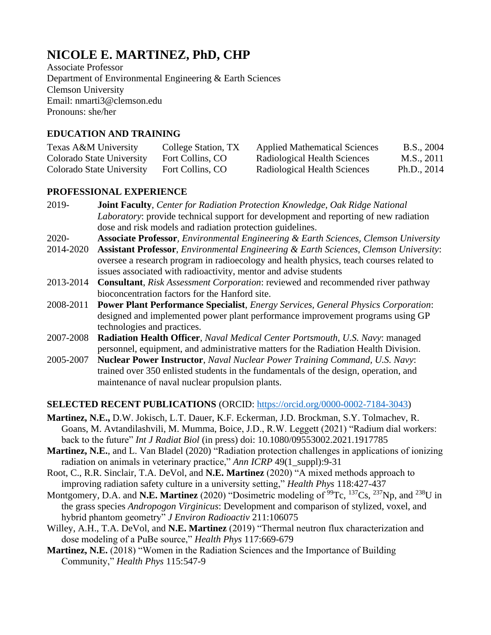# **NICOLE E. MARTINEZ, PhD, CHP**

Associate Professor Department of Environmental Engineering & Earth Sciences Clemson University Email: nmarti3@clemson.edu Pronouns: she/her

#### **EDUCATION AND TRAINING**

| Texas A&M University      | College Station, TX | <b>Applied Mathematical Sciences</b> | B.S., 2004  |
|---------------------------|---------------------|--------------------------------------|-------------|
| Colorado State University | Fort Collins, CO    | Radiological Health Sciences         | M.S., 2011  |
| Colorado State University | Fort Collins, CO    | Radiological Health Sciences         | Ph.D., 2014 |

#### **PROFESSIONAL EXPERIENCE**

- 2019- **Joint Faculty**, *Center for Radiation Protection Knowledge, Oak Ridge National Laboratory*: provide technical support for development and reporting of new radiation dose and risk models and radiation protection guidelines.
- 2020- **Associate Professor**, *Environmental Engineering & Earth Sciences, Clemson University* 2014-2020 **Assistant Professor**, *Environmental Engineering & Earth Sciences, Clemson University*: oversee a research program in radioecology and health physics, teach courses related to issues associated with radioactivity, mentor and advise students
- 2013-2014 **Consultant**, *Risk Assessment Corporation*: reviewed and recommended river pathway bioconcentration factors for the Hanford site.
- 2008-2011 **Power Plant Performance Specialist**, *Energy Services, General Physics Corporation*: designed and implemented power plant performance improvement programs using GP technologies and practices.
- 2007-2008 **Radiation Health Officer**, *Naval Medical Center Portsmouth, U.S. Navy*: managed personnel, equipment, and administrative matters for the Radiation Health Division.
- 2005-2007 **Nuclear Power Instructor**, *Naval Nuclear Power Training Command, U.S. Navy*: trained over 350 enlisted students in the fundamentals of the design, operation, and maintenance of naval nuclear propulsion plants.

## **SELECTED RECENT PUBLICATIONS** (ORCID: [https://orcid.org/0000-0002-7184-3043\)](https://orcid.org/0000-0002-7184-3043)

- **Martinez, N.E.,** D.W. Jokisch, L.T. Dauer, K.F. Eckerman, J.D. Brockman, S.Y. Tolmachev, R. Goans, M. Avtandilashvili, M. Mumma, Boice, J.D., R.W. Leggett (2021) "Radium dial workers: back to the future" *Int J Radiat Biol* (in press) doi: 10.1080/09553002.2021.1917785
- **Martinez, N.E.**, and L. Van Bladel (2020) "Radiation protection challenges in applications of ionizing radiation on animals in veterinary practice," *Ann ICRP* 49(1\_suppl):9-31
- Root, C., R.R. Sinclair, T.A. DeVol, and **N.E. Martinez** (2020) "A mixed methods approach to improving radiation safety culture in a university setting," *Health Phys* 118:427-437
- Montgomery, D.A. and **N.E. Martinez** (2020) "Dosimetric modeling of <sup>99</sup>Tc, <sup>137</sup>Cs, <sup>237</sup>Np, and <sup>238</sup>U in the grass species *Andropogon Virginicus*: Development and comparison of stylized, voxel, and hybrid phantom geometry" *J Environ Radioactiv* 211:106075
- Willey, A.H., T.A. DeVol, and **N.E. Martinez** (2019) "Thermal neutron flux characterization and dose modeling of a PuBe source," *Health Phys* 117:669-679
- **Martinez, N.E.** (2018) "Women in the Radiation Sciences and the Importance of Building Community," *Health Phys* 115:547-9